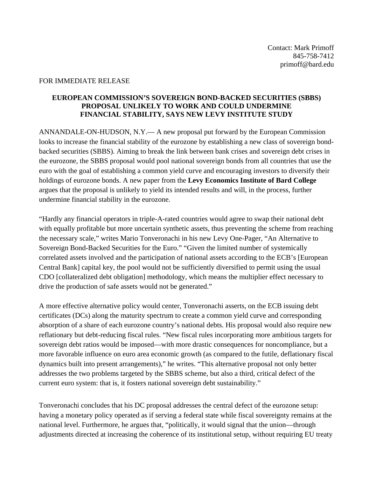## FOR IMMEDIATE RELEASE

## **EUROPEAN COMMISSION'S SOVEREIGN BOND-BACKED SECURITIES (SBBS) PROPOSAL UNLIKELY TO WORK AND COULD UNDERMINE FINANCIAL STABILITY, SAYS NEW LEVY INSTITUTE STUDY**

ANNANDALE-ON-HUDSON, N.Y.— A new proposal put forward by the European Commission looks to increase the financial stability of the eurozone by establishing a new class of sovereign bondbacked securities (SBBS). Aiming to break the link between bank crises and sovereign debt crises in the eurozone, the SBBS proposal would pool national sovereign bonds from all countries that use the euro with the goal of establishing a common yield curve and encouraging investors to diversify their holdings of eurozone bonds. A new paper from the **Levy Economics Institute of Bard College** argues that the proposal is unlikely to yield its intended results and will, in the process, further undermine financial stability in the eurozone.

"Hardly any financial operators in triple-A-rated countries would agree to swap their national debt with equally profitable but more uncertain synthetic assets, thus preventing the scheme from reaching the necessary scale," writes Mario Tonveronachi in his new Levy One-Pager, "An Alternative to Sovereign Bond-Backed Securities for the Euro." "Given the limited number of systemically correlated assets involved and the participation of national assets according to the ECB's [European Central Bank] capital key, the pool would not be sufficiently diversified to permit using the usual CDO [collateralized debt obligation] methodology, which means the multiplier effect necessary to drive the production of safe assets would not be generated."

A more effective alternative policy would center, Tonveronachi asserts, on the ECB issuing debt certificates (DCs) along the maturity spectrum to create a common yield curve and corresponding absorption of a share of each eurozone country's national debts. His proposal would also require new reflationary but debt-reducing fiscal rules. "New fiscal rules incorporating more ambitious targets for sovereign debt ratios would be imposed—with more drastic consequences for noncompliance, but a more favorable influence on euro area economic growth (as compared to the futile, deflationary fiscal dynamics built into present arrangements)," he writes. "This alternative proposal not only better addresses the two problems targeted by the SBBS scheme, but also a third, critical defect of the current euro system: that is, it fosters national sovereign debt sustainability."

Tonveronachi concludes that his DC proposal addresses the central defect of the eurozone setup: having a monetary policy operated as if serving a federal state while fiscal sovereignty remains at the national level. Furthermore, he argues that, "politically, it would signal that the union—through adjustments directed at increasing the coherence of its institutional setup, without requiring EU treaty